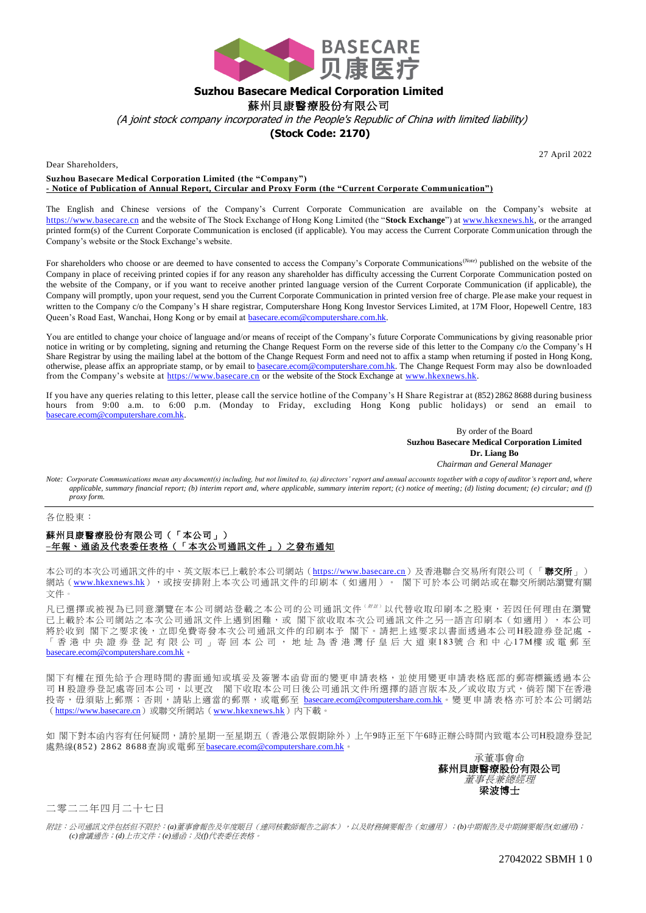

## **Suzhou Basecare Medical Corporation Limited**

蘇州貝康醫療股份有限公司

(A joint stock company incorporated in the People's Republic of China with limited liability)

## **(Stock Code: 2170)**

Dear Shareholders,

27 April 2022

**Suzhou Basecare Medical Corporation Limited (the "Company") - Notice of Publication of Annual Report, Circular and Proxy Form (the "Current Corporate Communication")**

The English and Chinese versions of the Company's Current Corporate Communication are available on the Company's website at [https://www.basecare.cn](https://www.basecare.cn/) and the website of The Stock Exchange of Hong Kong Limited (the "**Stock Exchange**") a[t www.hkexnews.hk,](http://www.hkexnews.hk/) or the arranged printed form(s) of the Current Corporate Communication is enclosed (if applicable). You may access the Current Corporate Communication through the Company's website or the Stock Exchange's website.

For shareholders who choose or are deemed to have consented to access the Company's Corporate Communications(*Note*) published on the website of the Company in place of receiving printed copies if for any reason any shareholder has difficulty accessing the Current Corporate Communication posted on the website of the Company, or if you want to receive another printed language version of the Current Corporate Communication (if applicable), the Company will promptly, upon your request, send you the Current Corporate Communication in printed version free of charge. Ple ase make your request in written to the Company c/o the Company's H share registrar, Computershare Hong Kong Investor Services Limited, at 17M Floor, Hopewell Centre, 183 Queen's Road East, Wanchai, Hong Kong or by email at [basecare.ecom@computershare.com.hk.](mailto:basecare.ecom@computershare.com.hk)

You are entitled to change your choice of language and/or means of receipt of the Company's future Corporate Communications by giving reasonable prior notice in writing or by completing, signing and returning the Change Request Form on the reverse side of this letter to the Company c/o the Company's H Share Registrar by using the mailing label at the bottom of the Change Request Form and need not to affix a stamp when returning if posted in Hong Kong, otherwise, please affix an appropriate stamp, or by email to [basecare.ecom@computershare.com.hk.](mailto:basecare.ecom@computershare.com.hk) The Change Request Form may also be downloaded from the Company's website at [https://www.basecare.cn](https://www.basecare.cn/) or the website of the Stock Exchange a[t www.hkexnews.hk.](http://www.hkexnews.hk/)

If you have any queries relating to this letter, please call the service hotline of the Company's H Share Registrar at (852) 2862 8688 during business hours from 9:00 a.m. to 6:00 p.m. (Monday to Friday, excluding Hong Kong public holidays) or send an email to [basecare.ecom@computershare.com.hk.](mailto:basecare.ecom@computershare.com.hk)

> By order of the Board **Suzhou Basecare Medical Corporation Limited Dr. Liang Bo** *Chairman and General Manager*

*Note: Corporate Communications mean any document(s) including, but not limited to, (a) directors' report and annual accounts together with a copy of auditor's report and, where applicable, summary financial report; (b) interim report and, where applicable, summary interim report; (c) notice of meeting; (d) listing document; (e) circular; and (f) proxy form.*

各位股東:

## 蘇州貝康醫療股份有限公司(「本公司」) **–**年報、通函及代表委任表格(「本次公司通訊文件」)之發布通知

本公司的本次公司通訊文件的中、英文版本已上載於本公司網站([https://www.basecare.cn](https://www.basecare.cn/))及香港聯合交易所有限公司(「聯交所」) 網站([www.hkexnews.hk](http://www.hkexnews.hk/)),最按安排附上本次公司通訊文件的印刷本(如適用)。 閣下可於本公司網站或在聯交所網站瀏覽有關 文件。

凡已選擇或被視為已同意瀏覽在本公司網站登載之本公司的公司通訊文件( <sup>附</sup> <sup>註</sup> ) 以代替收取印刷本之股東,若因任何理由在瀏覽 已上載於本公司網站之本次公司通訊文件上遇到困難,或 閣下欲收取本次公司通訊文件之另一語言印刷本(如適用),本公司 將於收到 閣下之要求後,立即免費寄發本次公司通訊文件的印刷本予 閣下。請把上述要求以書面透過本公司H股證券登記處 - 「 香 港 中 央 證 券 登 記 有 限 公 司 」 寄 回 本 公 司 , 地 址 為 香 港 灣 仔 皇 后 大 道 東183號合和中心17M樓 或 電郵至 [basecare.ecom@computershare.com.hk](mailto:basecare.ecom@computershare.com.hk)。

閣下有權在預先給予合理時間的書面通知或填妥及簽署本函背面的變更申請表格,並使用變更申請表格底部的郵寄標籤透過本公 司 H 股證券登記處寄回本公司,以更改 閣下收取本公司日後公司通訊文件所選擇的語言版本及/或收取方式,倘若閣下在香港 投寄,毋須貼上郵票;否則,請貼上適當的郵票,或電郵至 [basecare.ecom@computershare.com.hk](mailto:basecare.ecom@computershare.com.hk)。變更申請表格亦可於本公司網站 ([https://www.basecare.cn](https://www.basecare.cn/))或聯交所網站([www.hkexnews.hk](http://www.hkexnews.hk/))內下載。

如 閣下對本函內容有任何疑問,請於星期一至星期五(香港公眾假期除外)上午9時正至下午6時正辦公時間內致電本公司H股證券登記 處熱線(852) 2862 8688查詢或電郵至[basecare.ecom@computershare.com.hk](mailto:basecare.ecom@computershare.com.hk)。

> 承董事會命 蘇州貝康醫療股份有限公司 董事長兼總經理 梁波博士

二零二二年四月二十七日

附註:公司通訊文件包括但不限於:*(a)*董事會報告及年度賬目(連同核數師報告之副本),以及財務摘要報告(如適用);*(b)*中期報告及中期摘要報告*(*如適用*)*; *(c)*會議通告;*(d)*上市文件;*(e)*通函;及*(f)*代表委任表格。